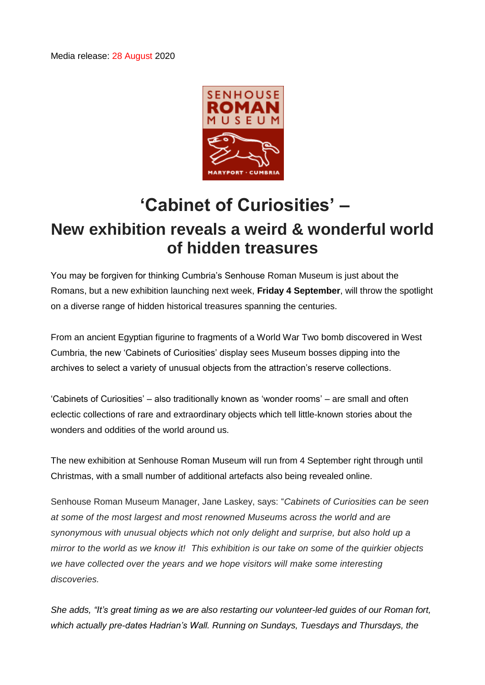Media release: 28 August 2020



## **'Cabinet of Curiosities' – New exhibition reveals a weird & wonderful world of hidden treasures**

You may be forgiven for thinking Cumbria's Senhouse Roman Museum is just about the Romans, but a new exhibition launching next week, **Friday 4 September**, will throw the spotlight on a diverse range of hidden historical treasures spanning the centuries.

From an ancient Egyptian figurine to fragments of a World War Two bomb discovered in West Cumbria, the new 'Cabinets of Curiosities' display sees Museum bosses dipping into the archives to select a variety of unusual objects from the attraction's reserve collections.

'Cabinets of Curiosities' – also traditionally known as 'wonder rooms' – are small and often eclectic collections of rare and extraordinary objects which tell little-known stories about the wonders and oddities of the world around us.

The new exhibition at Senhouse Roman Museum will run from 4 September right through until Christmas, with a small number of additional artefacts also being revealed online.

Senhouse Roman Museum Manager, Jane Laskey, says: "*Cabinets of Curiosities can be seen at some of the most largest and most renowned Museums across the world and are synonymous with unusual objects which not only delight and surprise, but also hold up a mirror to the world as we know it! This exhibition is our take on some of the quirkier objects we have collected over the years and we hope visitors will make some interesting discoveries.*

*She adds, "It's great timing as we are also restarting our volunteer-led guides of our Roman fort, which actually pre-dates Hadrian's Wall. Running on Sundays, Tuesdays and Thursdays, the*